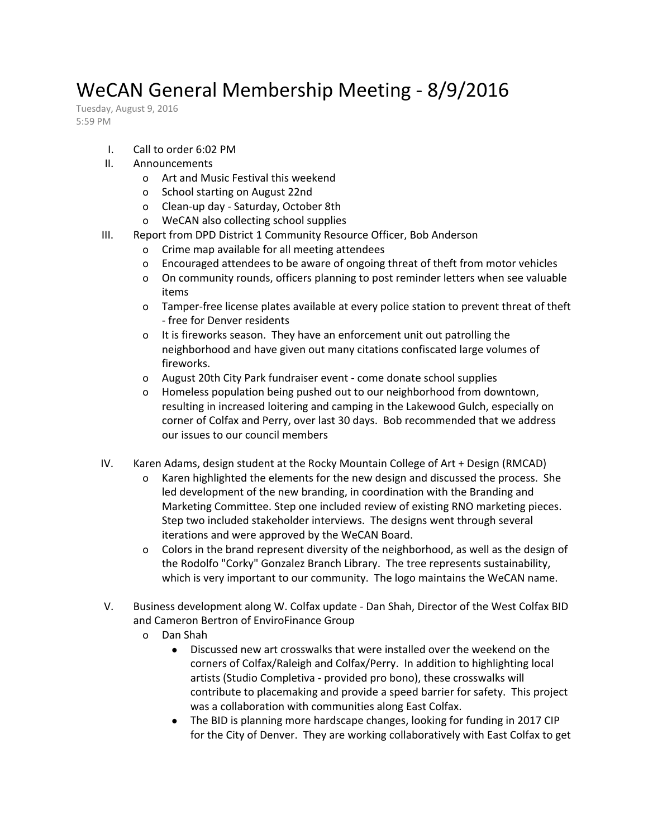## WeCAN General Membership Meeting - 8/9/2016

Tuesday, August 9, 2016 5:59 PM

- I. Call to order 6:02 PM
- II. Announcements
	- o Art and Music Festival this weekend
	- o School starting on August 22nd
	- o Clean-up day Saturday, October 8th
	- o WeCAN also collecting school supplies
- III. Report from DPD District 1 Community Resource Officer, Bob Anderson
	- o Crime map available for all meeting attendees
	- o Encouraged attendees to be aware of ongoing threat of theft from motor vehicles
	- o On community rounds, officers planning to post reminder letters when see valuable items
	- o Tamper-free license plates available at every police station to prevent threat of theft - free for Denver residents
	- o It is fireworks season. They have an enforcement unit out patrolling the neighborhood and have given out many citations confiscated large volumes of fireworks.
	- o August 20th City Park fundraiser event come donate school supplies
	- o Homeless population being pushed out to our neighborhood from downtown, resulting in increased loitering and camping in the Lakewood Gulch, especially on corner of Colfax and Perry, over last 30 days. Bob recommended that we address our issues to our council members
- IV. Karen Adams, design student at the Rocky Mountain College of Art + Design (RMCAD)
	- o Karen highlighted the elements for the new design and discussed the process. She led development of the new branding, in coordination with the Branding and Marketing Committee. Step one included review of existing RNO marketing pieces. Step two included stakeholder interviews. The designs went through several iterations and were approved by the WeCAN Board.
	- o Colors in the brand represent diversity of the neighborhood, as well as the design of the Rodolfo "Corky" Gonzalez Branch Library. The tree represents sustainability, which is very important to our community. The logo maintains the WeCAN name.
- V. Business development along W. Colfax update Dan Shah, Director of the West Colfax BID and Cameron Bertron of EnviroFinance Group
	- o Dan Shah
		- Discussed new art crosswalks that were installed over the weekend on the corners of Colfax/Raleigh and Colfax/Perry. In addition to highlighting local artists (Studio Completiva - provided pro bono), these crosswalks will contribute to placemaking and provide a speed barrier for safety. This project was a collaboration with communities along East Colfax.
		- The BID is planning more hardscape changes, looking for funding in 2017 CIP for the City of Denver. They are working collaboratively with East Colfax to get